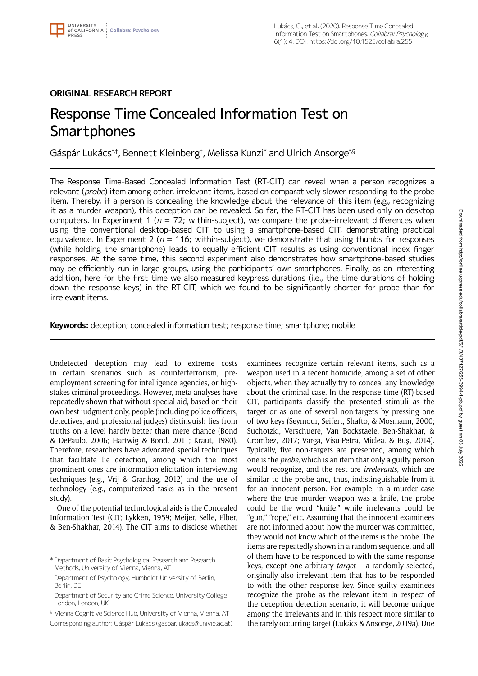# **ORIGINAL RESEARCH REPORT**

# Response Time Concealed Information Test on **Smartphones**

Gáspár Lukács\*†, Bennett Kleinberg‡, Melissa Kunzi\* and Ulrich Ansorge\*§

The Response Time-Based Concealed Information Test (RT-CIT) can reveal when a person recognizes a relevant (probe) item among other, irrelevant items, based on comparatively slower responding to the probe item. Thereby, if a person is concealing the knowledge about the relevance of this item (e.g., recognizing it as a murder weapon), this deception can be revealed. So far, the RT-CIT has been used only on desktop computers. In Experiment 1 ( $n = 72$ ; within-subject), we compare the probe-irrelevant differences when using the conventional desktop-based CIT to using a smartphone-based CIT, demonstrating practical equivalence. In Experiment 2 ( $n = 116$ ; within-subject), we demonstrate that using thumbs for responses (while holding the smartphone) leads to equally efficient CIT results as using conventional index finger responses. At the same time, this second experiment also demonstrates how smartphone-based studies may be efficiently run in large groups, using the participants' own smartphones. Finally, as an interesting addition, here for the first time we also measured keypress durations (i.e., the time durations of holding down the response keys) in the RT-CIT, which we found to be significantly shorter for probe than for irrelevant items.

**Keywords:** deception; concealed information test; response time; smartphone; mobile

Undetected deception may lead to extreme costs in certain scenarios such as counterterrorism, preemployment screening for intelligence agencies, or highstakes criminal proceedings. However, meta-analyses have repeatedly shown that without special aid, based on their own best judgment only, people (including police officers, detectives, and professional judges) distinguish lies from truths on a level hardly better than mere chance (Bond & DePaulo, 2006; Hartwig & Bond, 2011; Kraut, 1980). Therefore, researchers have advocated special techniques that facilitate lie detection, among which the most prominent ones are information-elicitation interviewing techniques (e.g., Vrij & Granhag, 2012) and the use of technology (e.g., computerized tasks as in the present study).

One of the potential technological aids is the Concealed Information Test (CIT; Lykken, 1959; Meijer, Selle, Elber, & Ben-Shakhar, 2014). The CIT aims to disclose whether examinees recognize certain relevant items, such as a weapon used in a recent homicide, among a set of other objects, when they actually try to conceal any knowledge about the criminal case. In the response time (RT)-based CIT, participants classify the presented stimuli as the target or as one of several non-targets by pressing one of two keys (Seymour, Seifert, Shafto, & Mosmann, 2000; Suchotzki, Verschuere, Van Bockstaele, Ben-Shakhar, & Crombez, 2017; Varga, Visu-Petra, Miclea, & Buş, 2014). Typically, five non-targets are presented, among which one is the *probe*, which is an item that only a guilty person would recognize, and the rest are *irrelevants*, which are similar to the probe and, thus, indistinguishable from it for an innocent person. For example, in a murder case where the true murder weapon was a knife, the probe could be the word "knife," while irrelevants could be "gun," "rope," etc. Assuming that the innocent examinees are not informed about how the murder was committed, they would not know which of the items is the probe. The items are repeatedly shown in a random sequence, and all of them have to be responded to with the same response keys, except one arbitrary *target* – a randomly selected, originally also irrelevant item that has to be responded to with the other response key. Since guilty examinees recognize the probe as the relevant item in respect of the deception detection scenario, it will become unique among the irrelevants and in this respect more similar to the rarely occurring target (Lukács & Ansorge, 2019a). Due

<sup>\*</sup> Department of Basic Psychological Research and Research Methods, University of Vienna, Vienna, AT

<sup>†</sup> Department of Psychology, Humboldt University of Berlin, Berlin, DE

<sup>‡</sup> Department of Security and Crime Science, University College London, London, UK

<sup>§</sup> Vienna Cognitive Science Hub, University of Vienna, Vienna, AT Corresponding author: Gáspár Lukács [\(gaspar.lukacs@univie.ac.at\)](mailto:gaspar.lukacs@univie.ac.at)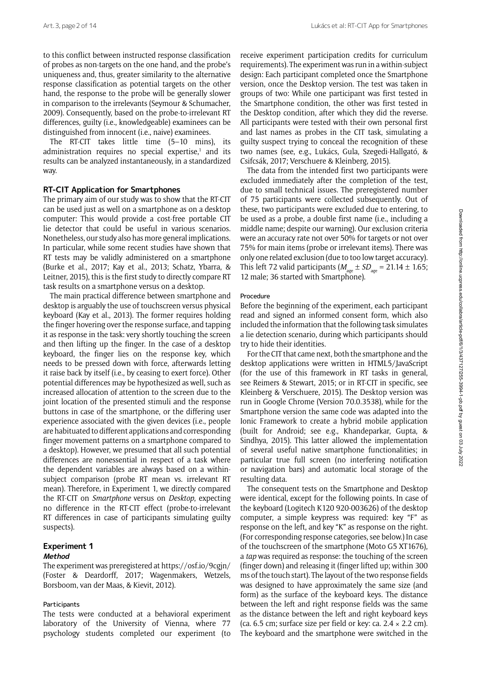to this conflict between instructed response classification of probes as non-targets on the one hand, and the probe's uniqueness and, thus, greater similarity to the alternative response classification as potential targets on the other hand, the response to the probe will be generally slower in comparison to the irrelevants (Seymour & Schumacher, 2009). Consequently, based on the probe-to-irrelevant RT differences, guilty (i.e., knowledgeable) examinees can be distinguished from innocent (i.e., naive) examinees.

The RT-CIT takes little time (5–10 mins), its administration requires no special expertise,<sup>1</sup> and its results can be analyzed instantaneously, in a standardized way.

## **RT-CIT Application for Smartphones**

The primary aim of our study was to show that the RT-CIT can be used just as well on a smartphone as on a desktop computer: This would provide a cost-free portable CIT lie detector that could be useful in various scenarios. Nonetheless, our study also has more general implications. In particular, while some recent studies have shown that RT tests may be validly administered on a smartphone (Burke et al., 2017; Kay et al., 2013; Schatz, Ybarra, & Leitner, 2015), this is the first study to directly compare RT task results on a smartphone versus on a desktop.

The main practical difference between smartphone and desktop is arguably the use of touchscreen versus physical keyboard (Kay et al., 2013). The former requires holding the finger hovering over the response surface, and tapping it as response in the task: very shortly touching the screen and then lifting up the finger. In the case of a desktop keyboard, the finger lies on the response key, which needs to be pressed down with force, afterwards letting it raise back by itself (i.e., by ceasing to exert force). Other potential differences may be hypothesized as well, such as increased allocation of attention to the screen due to the joint location of the presented stimuli and the response buttons in case of the smartphone, or the differing user experience associated with the given devices (i.e., people are habituated to different applications and corresponding finger movement patterns on a smartphone compared to a desktop). However, we presumed that all such potential differences are nonessential in respect of a task where the dependent variables are always based on a withinsubject comparison (probe RT mean vs. irrelevant RT mean). Therefore, in Experiment 1, we directly compared the RT-CIT on *Smartphone* versus on *Desktop*, expecting no difference in the RT-CIT effect (probe-to-irrelevant RT differences in case of participants simulating guilty suspects).

# **Experiment 1 Method**

The experiment was preregistered at<https://osf.io/9cgjn/> (Foster & Deardorff, 2017; Wagenmakers, Wetzels, Borsboom, van der Maas, & Kievit, 2012).

#### **Participants**

The tests were conducted at a behavioral experiment laboratory of the University of Vienna, where 77 psychology students completed our experiment (to

receive experiment participation credits for curriculum requirements). The experiment was run in a within-subject design: Each participant completed once the Smartphone version, once the Desktop version. The test was taken in groups of two: While one participant was first tested in the Smartphone condition, the other was first tested in the Desktop condition, after which they did the reverse. All participants were tested with their own personal first and last names as probes in the CIT task, simulating a guilty suspect trying to conceal the recognition of these two names (see, e.g., Lukács, Gula, Szegedi-Hallgató, & Csifcsák, 2017; Verschuere & Kleinberg, 2015).

The data from the intended first two participants were excluded immediately after the completion of the test, due to small technical issues. The preregistered number of 75 participants were collected subsequently. Out of these, two participants were excluded due to entering, to be used as a probe, a double first name (i.e., including a middle name; despite our warning). Our exclusion criteria were an accuracy rate not over 50% for targets or not over 75% for main items (probe or irrelevant items). There was only one related exclusion (due to too low target accuracy). This left 72 valid participants ( $M_{\text{age}} \pm SD_{\text{age}} = 21.14 \pm 1.65$ ; 12 male; 36 started with Smartphone).

#### Procedure

Before the beginning of the experiment, each participant read and signed an informed consent form, which also included the information that the following task simulates a lie detection scenario, during which participants should try to hide their identities.

For the CIT that came next, both the smartphone and the desktop applications were written in HTML5/JavaScript (for the use of this framework in RT tasks in general, see Reimers & Stewart, 2015; or in RT-CIT in specific, see Kleinberg & Verschuere, 2015). The Desktop version was run in Google Chrome (Version 70.0.3538), while for the Smartphone version the same code was adapted into the Ionic Framework to create a hybrid mobile application (built for Android; see e.g., Khandeparkar, Gupta, & Sindhya, 2015). This latter allowed the implementation of several useful native smartphone functionalities; in particular true full screen (no interfering notification or navigation bars) and automatic local storage of the resulting data.

The consequent tests on the Smartphone and Desktop were identical, except for the following points. In case of the keyboard (Logitech K120 920-003626) of the desktop computer, a simple keypress was required: key "F" as response on the left, and key "K" as response on the right. (For corresponding response categories, see below.) In case of the touchscreen of the smartphone (Moto G5 XT1676), a *tap* was required as response: the touching of the screen (finger down) and releasing it (finger lifted up; within 300 ms of the touch start). The layout of the two response fields was designed to have approximately the same size (and form) as the surface of the keyboard keys. The distance between the left and right response fields was the same as the distance between the left and right keyboard keys (ca. 6.5 cm; surface size per field or key: ca.  $2.4 \times 2.2$  cm). The keyboard and the smartphone were switched in the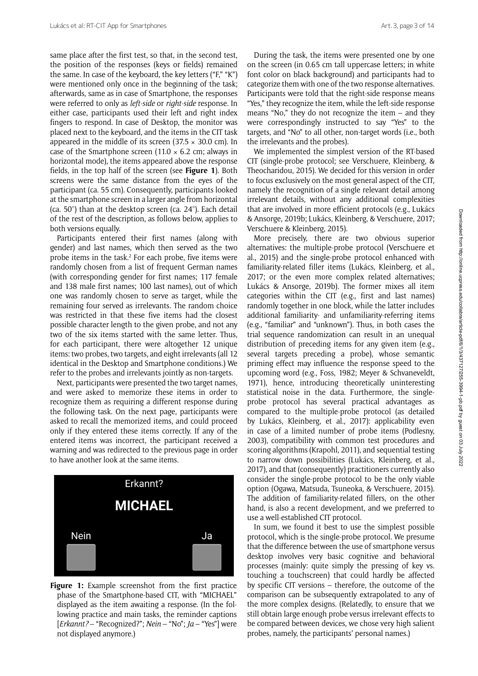same place after the first test, so that, in the second test, the position of the responses (keys or fields) remained the same. In case of the keyboard, the key letters ("F," "K") were mentioned only once in the beginning of the task; afterwards, same as in case of Smartphone, the responses were referred to only as *left-side* or *right-side* response. In either case, participants used their left and right index fingers to respond. In case of Desktop, the monitor was placed next to the keyboard, and the items in the CIT task appeared in the middle of its screen (37.5  $\times$  30.0 cm). In case of the Smartphone screen (11.0  $\times$  6.2 cm; always in horizontal mode), the items appeared above the response fields, in the top half of the screen (see **Figure 1**). Both screens were the same distance from the eyes of the participant (ca. 55 cm). Consequently, participants looked at the smartphone screen in a larger angle from horizontal (ca. 50°) than at the desktop screen (ca. 24°). Each detail of the rest of the description, as follows below, applies to both versions equally.

Participants entered their first names (along with gender) and last names, which then served as the two probe items in the task.2 For each probe, five items were randomly chosen from a list of frequent German names (with corresponding gender for first names; 117 female and 138 male first names; 100 last names), out of which one was randomly chosen to serve as target, while the remaining four served as irrelevants. The random choice was restricted in that these five items had the closest possible character length to the given probe, and not any two of the six items started with the same letter. Thus, for each participant, there were altogether 12 unique items: two probes, two targets, and eight irrelevants (all 12 identical in the Desktop and Smartphone conditions.) We refer to the probes and irrelevants jointly as non-targets.

Next, participants were presented the two target names, and were asked to memorize these items in order to recognize them as requiring a different response during the following task. On the next page, participants were asked to recall the memorized items, and could proceed only if they entered these items correctly. If any of the entered items was incorrect, the participant received a warning and was redirected to the previous page in order to have another look at the same items.



**Figure 1:** Example screenshot from the first practice phase of the Smartphone-based CIT, with "MICHAEL" displayed as the item awaiting a response. (In the following practice and main tasks, the reminder captions [*Erkannt?* – "Recognized?"; *Nein* – "No"; *Ja* – "Yes"] were not displayed anymore.)

During the task, the items were presented one by one on the screen (in 0.65 cm tall uppercase letters; in white font color on black background) and participants had to categorize them with one of the two response alternatives. Participants were told that the right-side response means "Yes," they recognize the item, while the left-side response means "No," they do not recognize the item – and they were correspondingly instructed to say "Yes" to the targets, and "No" to all other, non-target words (i.e., both the irrelevants and the probes).

We implemented the simplest version of the RT-based CIT (single-probe protocol; see Verschuere, Kleinberg, & Theocharidou, 2015). We decided for this version in order to focus exclusively on the most general aspect of the CIT, namely the recognition of a single relevant detail among irrelevant details, without any additional complexities that are involved in more efficient protocols (e.g., Lukács & Ansorge, 2019b; Lukács, Kleinberg, & Verschuere, 2017; Verschuere & Kleinberg, 2015).

More precisely, there are two obvious superior alternatives: the multiple-probe protocol (Verschuere et al., 2015) and the single-probe protocol enhanced with familiarity-related filler items (Lukács, Kleinberg, et al., 2017; or the even more complex related alternatives; Lukács & Ansorge, 2019b). The former mixes all item categories within the CIT (e.g., first and last names) randomly together in one block, while the latter includes additional familiarity- and unfamiliarity-referring items (e.g., "familiar" and "unknown"). Thus, in both cases the trial sequence randomization can result in an unequal distribution of preceding items for any given item (e.g., several targets preceding a probe), whose semantic priming effect may influence the response speed to the upcoming word (e.g., Foss, 1982; Meyer & Schvaneveldt, 1971), hence, introducing theoretically uninteresting statistical noise in the data. Furthermore, the singleprobe protocol has several practical advantages as compared to the multiple-probe protocol (as detailed by Lukács, Kleinberg, et al., 2017): applicability even in case of a limited number of probe items (Podlesny, 2003), compatibility with common test procedures and scoring algorithms (Krapohl, 2011), and sequential testing to narrow down possibilities (Lukács, Kleinberg, et al., 2017), and that (consequently) practitioners currently also consider the single-probe protocol to be the only viable option (Ogawa, Matsuda, Tsuneoka, & Verschuere, 2015). The addition of familiarity-related fillers, on the other hand, is also a recent development, and we preferred to use a well-established CIT protocol.

In sum, we found it best to use the simplest possible protocol, which is the single-probe protocol. We presume that the difference between the use of smartphone versus desktop involves very basic cognitive and behavioral processes (mainly: quite simply the pressing of key vs. touching a touchscreen) that could hardly be affected by specific CIT versions – therefore, the outcome of the comparison can be subsequently extrapolated to any of the more complex designs. (Relatedly, to ensure that we still obtain large enough probe versus irrelevant effects to be compared between devices, we chose very high salient probes, namely, the participants' personal names.)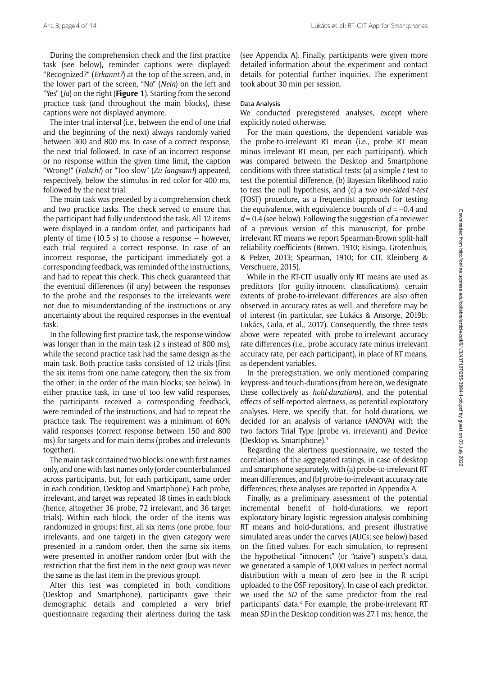During the comprehension check and the first practice task (see below), reminder captions were displayed: "Recognized?" (*Erkannt?*) at the top of the screen, and, in the lower part of the screen, "No" (*Nein*) on the left and "Yes" (*Ja*) on the right (**Figure 1**). Starting from the second practice task (and throughout the main blocks), these captions were not displayed anymore.

The inter-trial interval (i.e., between the end of one trial and the beginning of the next) always randomly varied between 300 and 800 ms. In case of a correct response, the next trial followed. In case of an incorrect response or no response within the given time limit, the caption "Wrong!" (*Falsch!*) or "Too slow" (*Zu langsam!*) appeared, respectively, below the stimulus in red color for 400 ms, followed by the next trial.

The main task was preceded by a comprehension check and two practice tasks. The check served to ensure that the participant had fully understood the task. All 12 items were displayed in a random order, and participants had plenty of time (10.5 s) to choose a response – however, each trial required a correct response. In case of an incorrect response, the participant immediately got a corresponding feedback, was reminded of the instructions, and had to repeat this check. This check guaranteed that the eventual differences (if any) between the responses to the probe and the responses to the irrelevants were not due to misunderstanding of the instructions or any uncertainty about the required responses in the eventual task.

In the following first practice task, the response window was longer than in the main task (2 s instead of 800 ms), while the second practice task had the same design as the main task. Both practice tasks consisted of 12 trials (first the six items from one name category, then the six from the other; in the order of the main blocks; see below). In either practice task, in case of too few valid responses, the participants received a corresponding feedback, were reminded of the instructions, and had to repeat the practice task. The requirement was a minimum of 60% valid responses (correct response between 150 and 800 ms) for targets and for main items (probes and irrelevants together).

The main task contained two blocks: one with first names only, and one with last names only (order counterbalanced across participants, but, for each participant, same order in each condition, Desktop and Smartphone). Each probe, irrelevant, and target was repeated 18 times in each block (hence, altogether 36 probe, 72 irrelevant, and 36 target trials). Within each block, the order of the items was randomized in groups: first, all six items (one probe, four irrelevants, and one target) in the given category were presented in a random order, then the same six items were presented in another random order (but with the restriction that the first item in the next group was never the same as the last item in the previous group).

After this test was completed in both conditions (Desktop and Smartphone), participants gave their demographic details and completed a very brief questionnaire regarding their alertness during the task (see Appendix A). Finally, participants were given more detailed information about the experiment and contact details for potential further inquiries. The experiment took about 30 min per session.

## Data Analysis

We conducted preregistered analyses, except where explicitly noted otherwise.

For the main questions, the dependent variable was the probe-to-irrelevant RT mean (i.e., probe RT mean minus irrelevant RT mean, per each participant), which was compared between the Desktop and Smartphone conditions with three statistical tests: (a) a simple *t*-test to test the potential difference, (b) Bayesian likelihood ratio to test the null hypothesis, and (c) a *two one-sided t-test* (TOST) procedure, as a frequentist approach for testing the equivalence, with equivalence bounds of  $d = -0.4$  and  $d = 0.4$  (see below). Following the suggestion of a reviewer of a previous version of this manuscript, for probeirrelevant RT means we report Spearman-Brown split-half reliability coefficients (Brown, 1910; Eisinga, Grotenhuis, & Pelzer, 2013; Spearman, 1910; for CIT, Kleinberg & Verschuere, 2015).

While in the RT-CIT usually only RT means are used as predictors (for guilty-innocent classifications), certain extents of probe-to-irrelevant differences are also often observed in accuracy rates as well, and therefore may be of interest (in particular, see Lukács & Ansorge, 2019b; Lukács, Gula, et al., 2017). Consequently, the three tests above were repeated with probe-to-irrelevant accuracy rate differences (i.e., probe accuracy rate minus irrelevant accuracy rate, per each participant), in place of RT means, as dependent variables.

In the preregistration, we only mentioned comparing keypress- and touch-durations (from here on, we designate these collectively as *hold-durations*), and the potential effects of self-reported alertness, as potential exploratory analyses. Here, we specify that, for hold-durations, we decided for an analysis of variance (ANOVA) with the two factors Trial Type (probe vs. irrelevant) and Device (Desktop vs. Smartphone).3

Regarding the alertness questionnaire, we tested the correlations of the aggregated ratings, in case of desktop and smartphone separately, with (a) probe-to-irrelevant RT mean differences, and (b) probe-to-irrelevant accuracy rate differences; these analyses are reported in Appendix A.

Finally, as a preliminary assessment of the potential incremental benefit of hold-durations, we report exploratory binary logistic regression analysis combining RT means and hold-durations, and present illustrative simulated areas under the curves (AUCs; see below) based on the fitted values. For each simulation, to represent the hypothetical "innocent" (or "naive") suspect's data, we generated a sample of 1,000 values in perfect normal distribution with a mean of zero (see in the R script uploaded to the OSF repository). In case of each predictor, we used the *SD* of the same predictor from the real participants' data.<sup>4</sup> For example, the probe-irrelevant RT mean *SD* in the Desktop condition was 27.1 ms; hence, the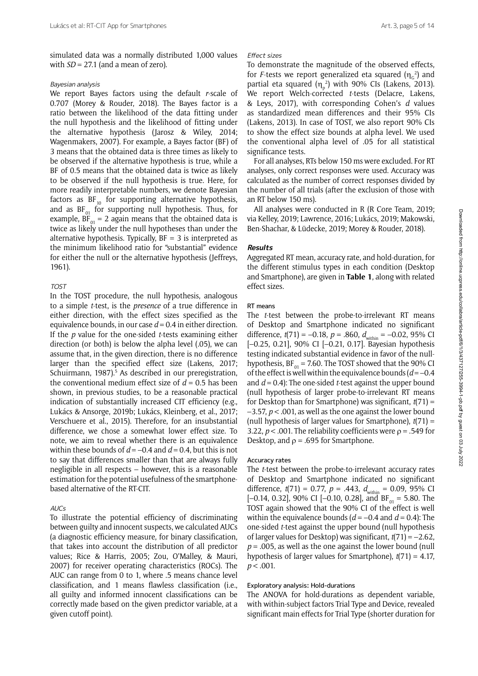simulated data was a normally distributed 1,000 values with  $SD = 27.1$  (and a mean of zero).

#### Bayesian analysis

We report Bayes factors using the default *r*-scale of 0.707 (Morey & Rouder, 2018). The Bayes factor is a ratio between the likelihood of the data fitting under the null hypothesis and the likelihood of fitting under the alternative hypothesis (Jarosz & Wiley, 2014; Wagenmakers, 2007). For example, a Bayes factor (BF) of 3 means that the obtained data is three times as likely to be observed if the alternative hypothesis is true, while a BF of 0.5 means that the obtained data is twice as likely to be observed if the null hypothesis is true. Here, for more readily interpretable numbers, we denote Bayesian factors as  $BF_{10}$  for supporting alternative hypothesis, and as  $BF_{01}$  for supporting null hypothesis. Thus, for example,  $\overrightarrow{BF}_{01} = 2$  again means that the obtained data is twice as likely under the null hypotheses than under the alternative hypothesis. Typically,  $BF = 3$  is interpreted as the minimum likelihood ratio for "substantial" evidence for either the null or the alternative hypothesis (Jeffreys, 1961).

#### TOST

In the TOST procedure, the null hypothesis, analogous to a simple *t*-test, is the *presence* of a true difference in either direction, with the effect sizes specified as the equivalence bounds, in our case  $d = 0.4$  in either direction. If the *p* value for the one-sided *t*-tests examining either direction (or both) is below the alpha level (.05), we can assume that, in the given direction, there is no difference larger than the specified effect size (Lakens, 2017; Schuirmann, 1987).<sup>5</sup> As described in our preregistration, the conventional medium effect size of  $d = 0.5$  has been shown, in previous studies, to be a reasonable practical indication of substantially increased CIT efficiency (e.g., Lukács & Ansorge, 2019b; Lukács, Kleinberg, et al., 2017; Verschuere et al., 2015). Therefore, for an insubstantial difference, we chose a somewhat lower effect size. To note, we aim to reveal whether there is an equivalence within these bounds of  $d = -0.4$  and  $d = 0.4$ , but this is not to say that differences smaller than that are always fully negligible in all respects – however, this is a reasonable estimation for the potential usefulness of the smartphonebased alternative of the RT-CIT.

#### $AUCS$

To illustrate the potential efficiency of discriminating between guilty and innocent suspects, we calculated AUCs (a diagnostic efficiency measure, for binary classification, that takes into account the distribution of all predictor values; Rice & Harris, 2005; Zou, O'Malley, & Mauri, 2007) for receiver operating characteristics (ROCs). The AUC can range from 0 to 1, where .5 means chance level classification, and 1 means flawless classification (i.e., all guilty and informed innocent classifications can be correctly made based on the given predictor variable, at a given cutoff point).

#### Effect sizes

To demonstrate the magnitude of the observed effects, for *F*-tests we report generalized eta squared  $(\eta_c^2)$  and partial eta squared  $(\eta_p^2)$  with 90% CIs (Lakens, 2013). We report Welch-corrected *t*-tests (Delacre, Lakens, & Leys, 2017), with corresponding Cohen's *d* values as standardized mean differences and their 95% CIs (Lakens, 2013). In case of TOST, we also report 90% CIs to show the effect size bounds at alpha level. We used the conventional alpha level of .05 for all statistical significance tests.

For all analyses, RTs below 150 ms were excluded. For RT analyses, only correct responses were used. Accuracy was calculated as the number of correct responses divided by the number of all trials (after the exclusion of those with an RT below 150 ms).

All analyses were conducted in R (R Core Team, 2019; via Kelley, 2019; Lawrence, 2016; Lukács, 2019; Makowski, Ben-Shachar, & Lüdecke, 2019; Morey & Rouder, 2018).

#### **Results**

Aggregated RT mean, accuracy rate, and hold-duration, for the different stimulus types in each condition (Desktop and Smartphone), are given in **Table 1**, along with related effect sizes.

#### RT means

The *t*-test between the probe-to-irrelevant RT means of Desktop and Smartphone indicated no significant difference, *t*(71) = -0.18, *p* = .860, *d*<sub>within</sub> = -0.02, 95% CI [–0.25, 0.21], 90% CI [–0.21, 0.17]. Bayesian hypothesis testing indicated substantial evidence in favor of the nullhypothesis,  $BF_{01} = 7.60$ . The TOST showed that the 90% CI of the effect is well within the equivalence bounds  $(d = -0.4$ and *d* = 0.4): The one-sided *t*-test against the upper bound (null hypothesis of larger probe-to-irrelevant RT means for Desktop than for Smartphone) was significant, *t*(71) = –3.57, *p* < .001, as well as the one against the lower bound (null hypothesis of larger values for Smartphone), *t*(71) = 3.22,  $p < 0.001$ . The reliability coefficients were  $p = 0.549$  for Desktop, and  $\rho = .695$  for Smartphone.

## Accuracy rates

The *t*-test between the probe-to-irrelevant accuracy rates of Desktop and Smartphone indicated no significant difference,  $t(71) = 0.77$ ,  $p = .443$ ,  $d_{within} = 0.09$ , 95% CI [-0.14, 0.32], 90% CI [-0.10, 0.28], and  $BF_{01} = 5.80$ . The TOST again showed that the 90% CI of the effect is well within the equivalence bounds  $(d = -0.4$  and  $d = 0.4)$ : The one-sided *t*-test against the upper bound (null hypothesis of larger values for Desktop) was significant, *t*(71) = –2.62, *p* = .005, as well as the one against the lower bound (null hypothesis of larger values for Smartphone), *t*(71) = 4.17,  $p < .001$ .

#### Exploratory analysis: Hold-durations

The ANOVA for hold-durations as dependent variable, with within-subject factors Trial Type and Device, revealed significant main effects for Trial Type (shorter duration for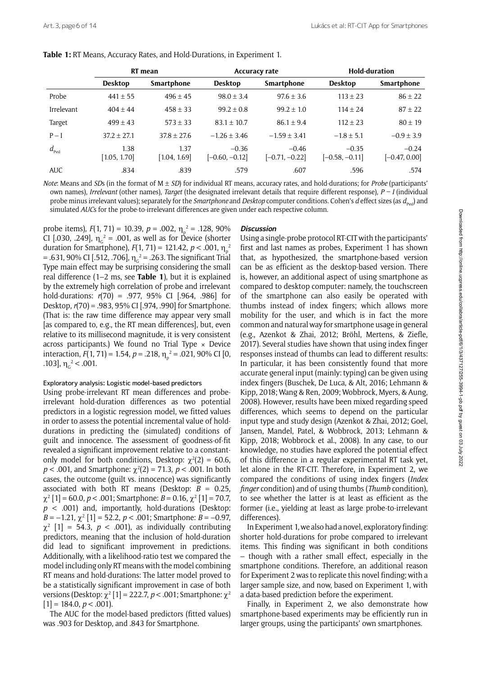## **Table 1:** RT Means, Accuracy Rates, and Hold-Durations, in Experiment 1.

|                       | RT mean              |                      | <b>Accuracy rate</b>        |                             | <b>Hold-duration</b>        |                            |
|-----------------------|----------------------|----------------------|-----------------------------|-----------------------------|-----------------------------|----------------------------|
|                       | <b>Desktop</b>       | Smartphone           | <b>Desktop</b>              | Smartphone                  | <b>Desktop</b>              | Smartphone                 |
| Probe                 | $441 \pm 55$         | $496 \pm 45$         | $98.0 \pm 3.4$              | $97.6 \pm 3.6$              | $113 \pm 23$                | $86 \pm 22$                |
| Irrelevant            | $404 \pm 44$         | $458 \pm 33$         | $99.2 \pm 0.8$              | $99.2 \pm 1.0$              | $114 \pm 24$                | $87 \pm 22$                |
| Target                | $499 \pm 43$         | $573 \pm 33$         | $83.1 \pm 10.7$             | $86.1 \pm 9.4$              | $112 \pm 23$                | $80 \pm 19$                |
| $P-I$                 | $37.2 \pm 27.1$      | $37.8 \pm 27.6$      | $-1.26 \pm 3.46$            | $-1.59 \pm 3.41$            | $-1.8 \pm 5.1$              | $-0.9 \pm 3.9$             |
| $d_{\rm p_{\rm vsl}}$ | 1.38<br>[1.05, 1.70] | 1.37<br>[1.04, 1.69] | $-0.36$<br>$[-0.60, -0.12]$ | $-0.46$<br>$[-0.71, -0.22]$ | $-0.35$<br>$[-0.58, -0.11]$ | $-0.24$<br>$[-0.47, 0.00]$ |
| <b>AUC</b>            | .834                 | .839                 | .579                        | .607                        | .596                        | .574                       |

*Note*: Means and *SD*s (in the format of M ± *SD*) for individual RT means, accuracy rates, and hold-durations; for *Probe* (participants' own names), *Irrelevant* (other names), *Target* (the designated irrelevant details that require different response), *P – I* (individual probe minus irrelevant values); separately for the *Smartphone* and *Desktop* computer conditions. Cohen's *d* effect sizes (as  $d_{p,q}$ ) and simulated *AUC*s for the probe-to-irrelevant differences are given under each respective column.

probe items),  $F(1, 71) = 10.39$ ,  $p = .002$ ,  $\eta_p^2 = .128$ , 90% CI [.030, .249],  $\eta_c^2 = .001$ , as well as for Device (shorter duration for Smartphone),  $F(1, 71) = 121.42$ ,  $p < .001$ ,  $\eta_p^2$ = .631, 90% CI [.512, .706],  $\eta_c^2$  = .263. The significant Trial Type main effect may be surprising considering the small real difference (1–2 ms, see **Table 1**), but it is explained by the extremely high correlation of probe and irrelevant hold-durations: *r*(70) = .977, 95% CI [.964, .986] for Desktop, *r*(70) = .983, 95% CI [.974, .990] for Smartphone. (That is: the raw time difference may appear very small [as compared to, e.g., the RT mean differences], but, even relative to its millisecond magnitude, it is very consistent across participants.) We found no Trial Type  $\times$  Device interaction,  $F(1, 71) = 1.54$ ,  $p = .218$ ,  $\eta_p^2 = .021$ , 90% CI [0, .103],  $\eta_{\text{G}}^2$  < .001.

#### Exploratory analysis: Logistic model-based predictors

Using probe-irrelevant RT mean differences and probeirrelevant hold-duration differences as two potential predictors in a logistic regression model, we fitted values in order to assess the potential incremental value of holddurations in predicting the (simulated) conditions of guilt and innocence. The assessment of goodness-of-fit revealed a significant improvement relative to a constantonly model for both conditions, Desktop:  $\chi^2(2) = 60.6$ , *, and Smartphone:*  $χ<sup>2</sup>(2) = 71.3, *p* < .001$ *. In both* cases, the outcome (guilt vs. innocence) was significantly associated with both RT means (Desktop:  $B = 0.25$ .  $\chi^2$  [1] = 60.0, *p* < .001; Smartphone: *B* = 0.16,  $\chi^2$  [1] = 70.7, *p* < .001) and, importantly, hold-durations (Desktop:  $B = -1.21$ ,  $\chi^2$  [1] = 52.2,  $p < .001$ ; Smartphone:  $B = -0.97$ ,  $\chi^2$  [1] = 54.3,  $p < .001$ ), as individually contributing predictors, meaning that the inclusion of hold-duration did lead to significant improvement in predictions. Additionally, with a likelihood-ratio test we compared the model including only RT means with the model combining RT means and hold-durations: The latter model proved to be a statistically significant improvement in case of both versions (Desktop:  $\chi^2$  [1] = 222.7, *p* < .001; Smartphone:  $\chi^2$  $[1] = 184.0, p < .001$ ).

The AUC for the model-based predictors (fitted values) was .903 for Desktop, and .843 for Smartphone.

# **Discussion**

Using a single-probe protocol RT-CIT with the participants' first and last names as probes, Experiment 1 has shown that, as hypothesized, the smartphone-based version can be as efficient as the desktop-based version. There is, however, an additional aspect of using smartphone as compared to desktop computer: namely, the touchscreen of the smartphone can also easily be operated with thumbs instead of index fingers; which allows more mobility for the user, and which is in fact the more common and natural way for smartphone usage in general (e.g., Azenkot & Zhai, 2012; Bröhl, Mertens, & Ziefle, 2017). Several studies have shown that using index finger responses instead of thumbs can lead to different results: In particular, it has been consistently found that more accurate general input (mainly: typing) can be given using index fingers (Buschek, De Luca, & Alt, 2016; Lehmann & Kipp, 2018; Wang & Ren, 2009; Wobbrock, Myers, & Aung, 2008). However, results have been mixed regarding speed differences, which seems to depend on the particular input type and study design (Azenkot & Zhai, 2012; Goel, Jansen, Mandel, Patel, & Wobbrock, 2013; Lehmann & Kipp, 2018; Wobbrock et al., 2008). In any case, to our knowledge, no studies have explored the potential effect of this difference in a regular experimental RT task yet, let alone in the RT-CIT. Therefore, in Experiment 2, we compared the conditions of using index fingers (*Index finger* condition) and of using thumbs (*Thumb* condition), to see whether the latter is at least as efficient as the former (i.e., yielding at least as large probe-to-irrelevant differences).

In Experiment 1, we also had a novel, exploratory finding: shorter hold-durations for probe compared to irrelevant items. This finding was significant in both conditions – though with a rather small effect, especially in the smartphone conditions. Therefore, an additional reason for Experiment 2 was to replicate this novel finding; with a larger sample size, and now, based on Experiment 1, with a data-based prediction before the experiment.

Finally, in Experiment 2, we also demonstrate how smartphone-based experiments may be efficiently run in larger groups, using the participants' own smartphones.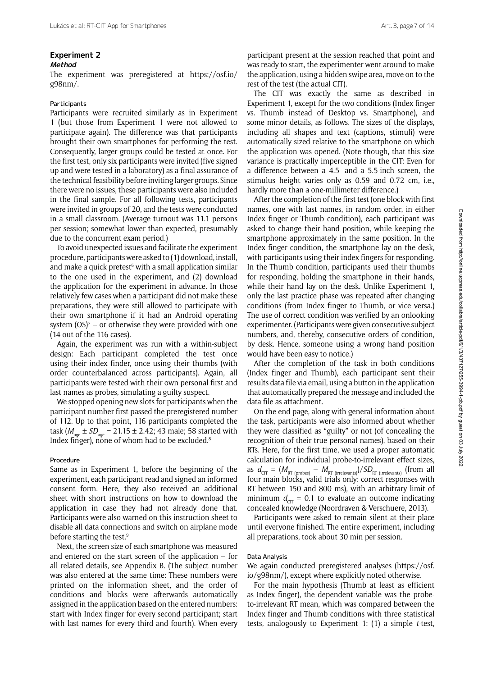## **Experiment 2**

#### **Method**

The experiment was preregistered at [https://osf.io/](https://osf.io/g98nm/) [g98nm/](https://osf.io/g98nm/).

## Participants

Participants were recruited similarly as in Experiment 1 (but those from Experiment 1 were not allowed to participate again). The difference was that participants brought their own smartphones for performing the test. Consequently, larger groups could be tested at once. For the first test, only six participants were invited (five signed up and were tested in a laboratory) as a final assurance of the technical feasibility before inviting larger groups. Since there were no issues, these participants were also included in the final sample. For all following tests, participants were invited in groups of 20, and the tests were conducted in a small classroom. (Average turnout was 11.1 persons per session; somewhat lower than expected, presumably due to the concurrent exam period.)

To avoid unexpected issues and facilitate the experiment procedure, participants were asked to (1) download, install, and make a quick pretest $6$  with a small application similar to the one used in the experiment, and (2) download the application for the experiment in advance. In those relatively few cases when a participant did not make these preparations, they were still allowed to participate with their own smartphone if it had an Android operating system  $\left( OS\right) ^{7}-$  or otherwise they were provided with one (14 out of the 116 cases).

Again, the experiment was run with a within-subject design: Each participant completed the test once using their index finder, once using their thumbs (with order counterbalanced across participants). Again, all participants were tested with their own personal first and last names as probes, simulating a guilty suspect.

We stopped opening new slots for participants when the participant number first passed the preregistered number of 112. Up to that point, 116 participants completed the task ( $M_{\text{age}} \pm SD_{\text{age}} = 21.15 \pm 2.42$ ; 43 male; 58 started with Index finger), none of whom had to be excluded.<sup>8</sup>

#### Procedure

Same as in Experiment 1, before the beginning of the experiment, each participant read and signed an informed consent form. Here, they also received an additional sheet with short instructions on how to download the application in case they had not already done that. Participants were also warned on this instruction sheet to disable all data connections and switch on airplane mode before starting the test.<sup>9</sup>

Next, the screen size of each smartphone was measured and entered on the start screen of the application – for all related details, see Appendix B. (The subject number was also entered at the same time: These numbers were printed on the information sheet, and the order of conditions and blocks were afterwards automatically assigned in the application based on the entered numbers: start with Index finger for every second participant; start with last names for every third and fourth). When every

participant present at the session reached that point and was ready to start, the experimenter went around to make the application, using a hidden swipe area, move on to the rest of the test (the actual CIT).

The CIT was exactly the same as described in Experiment 1, except for the two conditions (Index finger vs. Thumb instead of Desktop vs. Smartphone), and some minor details, as follows. The sizes of the displays, including all shapes and text (captions, stimuli) were automatically sized relative to the smartphone on which the application was opened. (Note though, that this size variance is practically imperceptible in the CIT: Even for a difference between a 4.5- and a 5.5-inch screen, the stimulus height varies only as 0.59 and 0.72 cm, i.e., hardly more than a one-millimeter difference.)

After the completion of the first test (one block with first names, one with last names, in random order, in either Index finger or Thumb condition), each participant was asked to change their hand position, while keeping the smartphone approximately in the same position. In the Index finger condition, the smartphone lay on the desk, with participants using their index fingers for responding. In the Thumb condition, participants used their thumbs for responding, holding the smartphone in their hands, while their hand lay on the desk. Unlike Experiment 1, only the last practice phase was repeated after changing conditions (from Index finger to Thumb, or vice versa.) The use of correct condition was verified by an onlooking experimenter. (Participants were given consecutive subject numbers, and, thereby, consecutive orders of condition, by desk. Hence, someone using a wrong hand position would have been easy to notice.)

After the completion of the task in both conditions (Index finger and Thumb), each participant sent their results data file via email, using a button in the application that automatically prepared the message and included the data file as attachment.

On the end page, along with general information about the task, participants were also informed about whether they were classified as "guilty" or not (of concealing the recognition of their true personal names), based on their RTs. Here, for the first time, we used a proper automatic calculation for individual probe-to-irrelevant effect sizes, as  $d_{\text{CIT}} = (M_{\text{RT (probes)}} - M_{\text{RT (irrelevants)}})/SD_{\text{RT (irrelevants)}}$  (from all four main blocks, valid trials only: correct responses with RT between 150 and 800 ms), with an arbitrary limit of minimum  $d_{cr}$  = 0.1 to evaluate an outcome indicating concealed knowledge (Noordraven & Verschuere, 2013).

Participants were asked to remain silent at their place until everyone finished. The entire experiment, including all preparations, took about 30 min per session.

#### Data Analysis

We again conducted preregistered analyses ([https://osf.](https://osf.io/g98nm/) [io/g98nm/](https://osf.io/g98nm/)), except where explicitly noted otherwise.

For the main hypothesis (Thumb at least as efficient as Index finger), the dependent variable was the probeto-irrelevant RT mean, which was compared between the Index finger and Thumb conditions with three statistical tests, analogously to Experiment 1: (1) a simple *t*-test,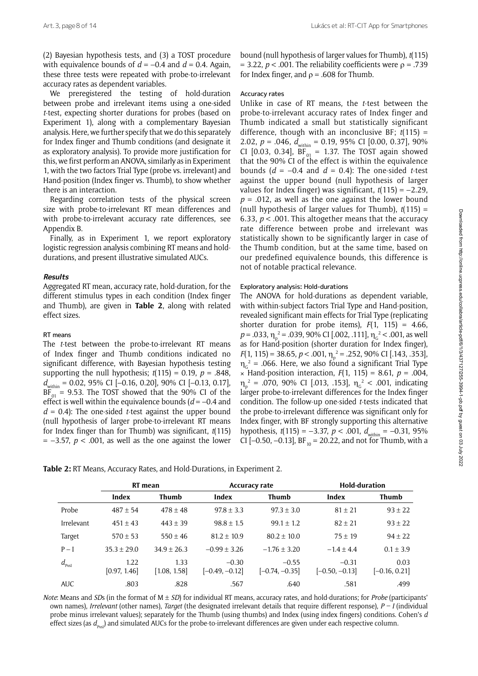(2) Bayesian hypothesis tests, and (3) a TOST procedure with equivalence bounds of  $d = -0.4$  and  $d = 0.4$ . Again, these three tests were repeated with probe-to-irrelevant accuracy rates as dependent variables.

We preregistered the testing of hold-duration between probe and irrelevant items using a one-sided *t*-test, expecting shorter durations for probes (based on Experiment 1), along with a complementary Bayesian analysis. Here, we further specify that we do this separately for Index finger and Thumb conditions (and designate it as exploratory analysis). To provide more justification for this, we first perform an ANOVA, similarly as in Experiment 1, with the two factors Trial Type (probe vs. irrelevant) and Hand-position (Index finger vs. Thumb), to show whether there is an interaction.

Regarding correlation tests of the physical screen size with probe-to-irrelevant RT mean differences and with probe-to-irrelevant accuracy rate differences, see Appendix B.

Finally, as in Experiment 1, we report exploratory logistic regression analysis combining RT means and holddurations, and present illustrative simulated AUCs.

#### **Results**

Aggregated RT mean, accuracy rate, hold-duration, for the different stimulus types in each condition (Index finger and Thumb), are given in **Table 2**, along with related effect sizes.

#### RT means

The *t*-test between the probe-to-irrelevant RT means of Index finger and Thumb conditions indicated no significant difference, with Bayesian hypothesis testing supporting the null hypothesis;  $t(115) = 0.19$ ,  $p = .848$ , *d*<sub>within</sub> = 0.02, 95% CI [-0.16, 0.20], 90% CI [-0.13, 0.17],  $BF_{01}$  = 9.53. The TOST showed that the 90% CI of the effect is well within the equivalence bounds  $(d = -0.4$  and *d* = 0.4): The one-sided *t*-test against the upper bound (null hypothesis of larger probe-to-irrelevant RT means for Index finger than for Thumb) was significant, *t*(115)  $= -3.57$ ,  $p < .001$ , as well as the one against the lower bound (null hypothesis of larger values for Thumb), *t*(115)  $= 3.22$ ,  $p < .001$ . The reliability coefficients were  $p = .739$ for Index finger, and  $\rho = .608$  for Thumb.

#### Accuracy rates

Unlike in case of RT means, the *t*-test between the probe-to-irrelevant accuracy rates of Index finger and Thumb indicated a small but statistically significant difference, though with an inconclusive BF; *t*(115) = 2.02, *p* = .046,  $d_{\text{within}}$  = 0.19, 95% CI [0.00, 0.37], 90% CI [0.03, 0.34],  $BF_{01} = 1.37$ . The TOST again showed that the 90% CI of the effect is within the equivalence bounds ( $d = -0.4$  and  $d = 0.4$ ): The one-sided *t*-test against the upper bound (null hypothesis of larger values for Index finger) was significant,  $t(115) = -2.29$ ,  $p = .012$ , as well as the one against the lower bound (null hypothesis of larger values for Thumb), *t*(115) = 6.33, *p* < .001. This altogether means that the accuracy rate difference between probe and irrelevant was statistically shown to be significantly larger in case of the Thumb condition, but at the same time, based on our predefined equivalence bounds, this difference is not of notable practical relevance.

#### Exploratory analysis: Hold-durations

The ANOVA for hold-durations as dependent variable, with within-subject factors Trial Type and Hand-position, revealed significant main effects for Trial Type (replicating shorter duration for probe items),  $F(1, 115) = 4.66$ ,  $p = .033$ ,  $\eta_p^2 = .039$ , 90% CI [.002, .111],  $\eta_c^2 < .001$ , as well as for Hand-position (shorter duration for Index finger),  $F(1, 115) = 38.65, p < .001, \eta_p^2 = .252, 90\% \text{ CI} [.143, .353],$  $\eta_c^2$  = .066. Here, we also found a significant Trial Type × Hand-position interaction, *F*(1, 115) = 8.61, *p* = .004,  $\eta_p^2$  = .070, 90% CI [.013, .153],  $\eta_c^2$  < .001, indicating larger probe-to-irrelevant differences for the Index finger condition. The follow-up one-sided *t*-tests indicated that the probe-to-irrelevant difference was significant only for Index finger, with BF strongly supporting this alternative hypothesis,  $t(115) = -3.37$ ,  $p < .001$ ,  $d_{within} = -0.31$ , 95% CI [-0.50, -0.13],  $BF_{10} = 20.22$ , and not for Thumb, with a

**Table 2:** RT Means, Accuracy Rates, and Hold-Durations, in Experiment 2.

|                   | RT mean              |                      | <b>Accuracy rate</b>        |                             | <b>Hold-duration</b>        |                         |
|-------------------|----------------------|----------------------|-----------------------------|-----------------------------|-----------------------------|-------------------------|
|                   | Index                | Thumb                | Index                       | <b>Thumb</b>                | Index                       | Thumb                   |
| Probe             | $487 \pm 54$         | $478 \pm 48$         | $97.8 \pm 3.3$              | $97.3 \pm 3.0$              | $81 \pm 21$                 | $93 + 22$               |
| Irrelevant        | $451 \pm 43$         | $443 \pm 39$         | $98.8 \pm 1.5$              | $99.1 \pm 1.2$              | $82 \pm 21$                 | $93 + 22$               |
| Target            | $570 \pm 53$         | $550 \pm 46$         | $81.2 \pm 10.9$             | $80.2 \pm 10.0$             | $75 + 19$                   | $94 + 22$               |
| $P-I$             | $35.3 \pm 29.0$      | $34.9 \pm 26.3$      | $-0.99 \pm 3.26$            | $-1.76 \pm 3.20$            | $-1.4 \pm 4.4$              | $0.1 \pm 3.9$           |
| $d_{_{\rm Pvsl}}$ | 1.22<br>[0.97, 1.46] | 1.33<br>[1.08, 1.58] | $-0.30$<br>$[-0.49, -0.12]$ | $-0.55$<br>$[-0.74, -0.35]$ | $-0.31$<br>$[-0.50, -0.13]$ | 0.03<br>$[-0.16, 0.21]$ |
| <b>AUC</b>        | .803                 | .828                 | .567                        | .640                        | .581                        | .499                    |

*Note*: Means and *SD*s (in the format of M  $\pm$  *SD*) for individual RT means, accuracy rates, and hold-durations; for *Probe* (participants' own names), *Irrelevant* (other names), *Target* (the designated irrelevant details that require different response), *P – I* (individual probe minus irrelevant values); separately for the Thumb (using thumbs) and Index (using index fingers) conditions. Cohen's *d* effect sizes (as  $d_{p_{\text{vol}}}$ ) and simulated AUCs for the probe-to-irrelevant differences are given under each respective column.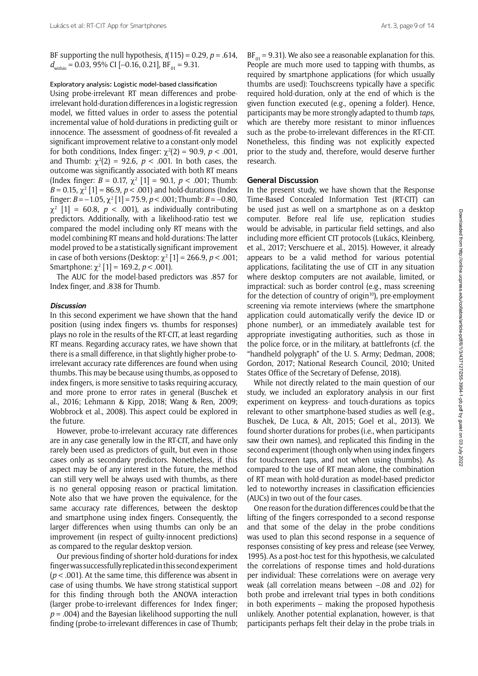BF supporting the null hypothesis, *t*(115) = 0.29, *p* = .614,  $d_{\text{within}} = 0.03, 95\% \text{ CI} [-0.16, 0.21], \text{BF}_{01} = 9.31.$ 

## Exploratory analysis: Logistic model-based classification

Using probe-irrelevant RT mean differences and probeirrelevant hold-duration differences in a logistic regression model, we fitted values in order to assess the potential incremental value of hold-durations in predicting guilt or innocence. The assessment of goodness-of-fit revealed a significant improvement relative to a constant-only model for both conditions, Index finger:  $\chi^2(2) = 90.9$ ,  $p < .001$ , and Thumb:  $\chi^2(2) = 92.6$ ,  $p < .001$ . In both cases, the outcome was significantly associated with both RT means (Index finger:  $B = 0.17$ ,  $\chi^2$  [1] = 90.1,  $p < .001$ ; Thumb: *B* = 0.15,  $\chi^2$  [1] = 86.9, *p* < .001) and hold-durations (Index finger:  $B = -1.05$ ,  $\chi^2$  [1] = 75.9,  $p < .001$ ; Thumb:  $B = -0.80$ ,  $\chi^2$  [1] = 60.8, *p* < .001), as individually contributing predictors. Additionally, with a likelihood-ratio test we compared the model including only RT means with the model combining RT means and hold-durations: The latter model proved to be a statistically significant improvement in case of both versions (Desktop:  $\chi^2$  [1] = 266.9, *p* < .001; Smartphone: χ<sup>2</sup> [1] = 169.2, *p* < .001).

The AUC for the model-based predictors was .857 for Index finger, and .838 for Thumb.

#### **Discussion**

In this second experiment we have shown that the hand position (using index fingers vs. thumbs for responses) plays no role in the results of the RT-CIT, at least regarding RT means. Regarding accuracy rates, we have shown that there is a small difference, in that slightly higher probe-toirrelevant accuracy rate differences are found when using thumbs. This may be because using thumbs, as opposed to index fingers, is more sensitive to tasks requiring accuracy, and more prone to error rates in general (Buschek et al., 2016; Lehmann & Kipp, 2018; Wang & Ren, 2009; Wobbrock et al., 2008). This aspect could be explored in the future.

However, probe-to-irrelevant accuracy rate differences are in any case generally low in the RT-CIT, and have only rarely been used as predictors of guilt, but even in those cases only as secondary predictors. Nonetheless, if this aspect may be of any interest in the future, the method can still very well be always used with thumbs, as there is no general opposing reason or practical limitation. Note also that we have proven the equivalence, for the same accuracy rate differences, between the desktop and smartphone using index fingers. Consequently, the larger differences when using thumbs can only be an improvement (in respect of guilty-innocent predictions) as compared to the regular desktop version.

Our previous finding of shorter hold-durations for index finger was successfully replicated in this second experiment (*p* < .001). At the same time, this difference was absent in case of using thumbs. We have strong statistical support for this finding through both the ANOVA interaction (larger probe-to-irrelevant differences for Index finger; *p* = .004) and the Bayesian likelihood supporting the null finding (probe-to-irrelevant differences in case of Thumb;

 $BF_{01} = 9.31$ ). We also see a reasonable explanation for this. People are much more used to tapping with thumbs, as required by smartphone applications (for which usually thumbs are used): Touchscreens typically have a specific required hold-duration, only at the end of which is the given function executed (e.g., opening a folder). Hence, participants may be more strongly adapted to thumb *taps*, which are thereby more resistant to minor influences such as the probe-to-irrelevant differences in the RT-CIT. Nonetheless, this finding was not explicitly expected prior to the study and, therefore, would deserve further research.

#### **General Discussion**

In the present study, we have shown that the Response Time-Based Concealed Information Test (RT-CIT) can be used just as well on a smartphone as on a desktop computer. Before real life use, replication studies would be advisable, in particular field settings, and also including more efficient CIT protocols (Lukács, Kleinberg, et al., 2017; Verschuere et al., 2015). However, it already appears to be a valid method for various potential applications, facilitating the use of CIT in any situation where desktop computers are not available, limited, or impractical: such as border control (e.g., mass screening for the detection of country of origin<sup>10</sup>), pre-employment screening via remote interviews (where the smartphone application could automatically verify the device ID or phone number), or an immediately available test for appropriate investigating authorities, such as those in the police force, or in the military, at battlefronts (cf. the "handheld polygraph" of the U. S. Army; Dedman, 2008; Gordon, 2017; National Research Council, 2010; United States Office of the Secretary of Defense, 2018).

While not directly related to the main question of our study, we included an exploratory analysis in our first experiment on keypress- and touch-durations as topics relevant to other smartphone-based studies as well (e.g., Buschek, De Luca, & Alt, 2015; Goel et al., 2013). We found shorter durations for probes (i.e., when participants saw their own names), and replicated this finding in the second experiment (though only when using index fingers for touchscreen taps, and not when using thumbs). As compared to the use of RT mean alone, the combination of RT mean with hold-duration as model-based predictor led to noteworthy increases in classification efficiencies (AUCs) in two out of the four cases.

One reason for the duration differences could be that the lifting of the fingers corresponded to a second response and that some of the delay in the probe conditions was used to plan this second response in a sequence of responses consisting of key press and release (see Verwey, 1995). As a post-hoc test for this hypothesis, we calculated the correlations of response times and hold-durations per individual: These correlations were on average very weak (all correlation means between –.08 and .02) for both probe and irrelevant trial types in both conditions in both experiments – making the proposed hypothesis unlikely. Another potential explanation, however, is that participants perhaps felt their delay in the probe trials in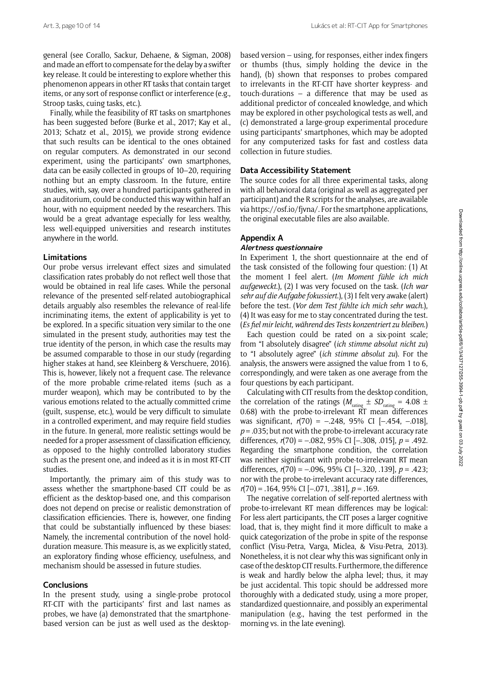general (see Corallo, Sackur, Dehaene, & Sigman, 2008) and made an effort to compensate for the delay by a swifter key release. It could be interesting to explore whether this phenomenon appears in other RT tasks that contain target items, or any sort of response conflict or interference (e.g., Stroop tasks, cuing tasks, etc.).

Finally, while the feasibility of RT tasks on smartphones has been suggested before (Burke et al., 2017; Kay et al., 2013; Schatz et al., 2015), we provide strong evidence that such results can be identical to the ones obtained on regular computers. As demonstrated in our second experiment, using the participants' own smartphones, data can be easily collected in groups of 10–20, requiring nothing but an empty classroom. In the future, entire studies, with, say, over a hundred participants gathered in an auditorium, could be conducted this way within half an hour, with no equipment needed by the researchers. This would be a great advantage especially for less wealthy, less well-equipped universities and research institutes anywhere in the world.

#### **Limitations**

Our probe versus irrelevant effect sizes and simulated classification rates probably do not reflect well those that would be obtained in real life cases. While the personal relevance of the presented self-related autobiographical details arguably also resembles the relevance of real-life incriminating items, the extent of applicability is yet to be explored. In a specific situation very similar to the one simulated in the present study, authorities may test the true identity of the person, in which case the results may be assumed comparable to those in our study (regarding higher stakes at hand, see Kleinberg & Verschuere, 2016). This is, however, likely not a frequent case. The relevance of the more probable crime-related items (such as a murder weapon), which may be contributed to by the various emotions related to the actually committed crime (guilt, suspense, etc.), would be very difficult to simulate in a controlled experiment, and may require field studies in the future. In general, more realistic settings would be needed for a proper assessment of classification efficiency, as opposed to the highly controlled laboratory studies such as the present one, and indeed as it is in most RT-CIT studies.

Importantly, the primary aim of this study was to assess whether the smartphone-based CIT could be as efficient as the desktop-based one, and this comparison does not depend on precise or realistic demonstration of classification efficiencies. There is, however, one finding that could be substantially influenced by these biases: Namely, the incremental contribution of the novel holdduration measure. This measure is, as we explicitly stated, an exploratory finding whose efficiency, usefulness, and mechanism should be assessed in future studies.

## **Conclusions**

In the present study, using a single-probe protocol RT-CIT with the participants' first and last names as probes, we have (a) demonstrated that the smartphonebased version can be just as well used as the desktop-

based version – using, for responses, either index fingers or thumbs (thus, simply holding the device in the hand), (b) shown that responses to probes compared to irrelevants in the RT-CIT have shorter keypress- and touch-durations – a difference that may be used as additional predictor of concealed knowledge, and which may be explored in other psychological tests as well, and (c) demonstrated a large-group experimental procedure using participants' smartphones, which may be adopted for any computerized tasks for fast and costless data collection in future studies.

# **Data Accessibility Statement**

The source codes for all three experimental tasks, along with all behavioral data (original as well as aggregated per participant) and the R scripts for the analyses, are available via<https://osf.io/fjvna/>. For the smartphone applications, the original executable files are also available.

# **Appendix A**

#### **Alertness questionnaire**

In Experiment 1, the short questionnaire at the end of the task consisted of the following four question: (1) At the moment I feel alert. (*Im Moment fühle ich mich aufgeweckt*.), (2) I was very focused on the task. (*Ich war sehr auf die Aufgabe fokussiert*.), (3) I felt very awake (alert) before the test. (*Vor dem Test fühlte ich mich sehr wach*.), (4) It was easy for me to stay concentrated during the test. (*Es fiel mir leicht, während des Tests konzentriert zu bleiben*.)

Each question could be rated on a six-point scale; from "I absolutely disagree" (*ich stimme absolut nicht zu*) to "I absolutely agree" (*ich stimme absolut zu*). For the analysis, the answers were assigned the value from 1 to 6, correspondingly, and were taken as one average from the four questions by each participant.

Calculating with CIT results from the desktop condition, the correlation of the ratings ( $M_{\text{rating}} \pm SD_{\text{rating}} = 4.08 \pm 1.08$ 0.68) with the probe-to-irrelevant RT mean differences was significant, *r*(70) = –.248, 95% CI [–.454, –.018],  $p = 0.035$ ; but not with the probe-to-irrelevant accuracy rate differences, *r*(70) = –.082, 95% CI [–.308, .015], *p* = .492. Regarding the smartphone condition, the correlation was neither significant with probe-to-irrelevant RT mean differences, *r*(70) = –.096, 95% CI [–.320, .139], *p* = .423; nor with the probe-to-irrelevant accuracy rate differences, *r*(70) = .164, 95% CI [–.071, .381], *p* = .169.

The negative correlation of self-reported alertness with probe-to-irrelevant RT mean differences may be logical: For less alert participants, the CIT poses a larger cognitive load, that is, they might find it more difficult to make a quick categorization of the probe in spite of the response conflict (Visu-Petra, Varga, Miclea, & Visu-Petra, 2013). Nonetheless, it is not clear why this was significant only in case of the desktop CIT results. Furthermore, the difference is weak and hardly below the alpha level; thus, it may be just accidental. This topic should be addressed more thoroughly with a dedicated study, using a more proper, standardized questionnaire, and possibly an experimental manipulation (e.g., having the test performed in the morning vs. in the late evening).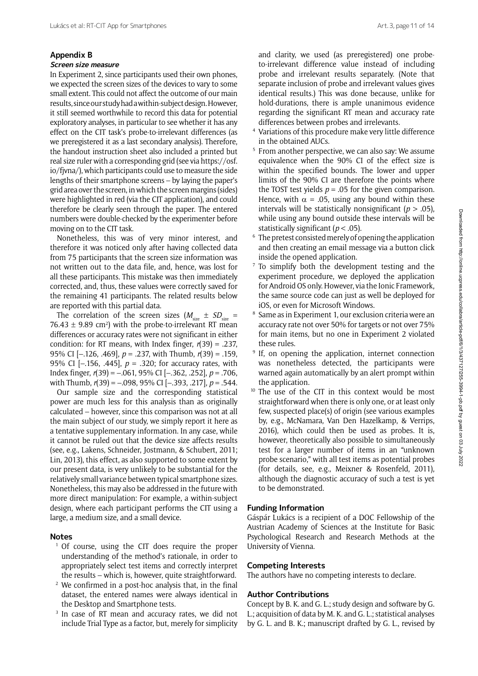# **Appendix B**

# **Screen size measure**

In Experiment 2, since participants used their own phones, we expected the screen sizes of the devices to vary to some small extent. This could not affect the outcome of our main results, since our study had a within-subject design. However, it still seemed worthwhile to record this data for potential exploratory analyses, in particular to see whether it has any effect on the CIT task's probe-to-irrelevant differences (as we preregistered it as a last secondary analysis). Therefore, the handout instruction sheet also included a printed but real size ruler with a corresponding grid (see via [https://osf.](https://osf.io/fjvna/) [io/fjvna/](https://osf.io/fjvna/)), which participants could use to measure the side lengths of their smartphone screens – by laying the paper's grid area over the screen, in which the screen margins (sides) were highlighted in red (via the CIT application), and could therefore be clearly seen through the paper. The entered numbers were double-checked by the experimenter before moving on to the CIT task.

Nonetheless, this was of very minor interest, and therefore it was noticed only after having collected data from 75 participants that the screen size information was not written out to the data file, and, hence, was lost for all these participants. This mistake was then immediately corrected, and, thus, these values were correctly saved for the remaining 41 participants. The related results below are reported with this partial data.

The correlation of the screen sizes ( $M_{size}$   $\pm$  *SD*<sub>size</sub> =  $76.43 \pm 9.89$  cm<sup>2</sup>) with the probe-to-irrelevant RT mean differences or accuracy rates were not significant in either condition: for RT means, with Index finger, *r*(39) = .237, 95% CI [–.126, .469], *p* = .237, with Thumb, *r*(39) = .159, 95% CI [–.156, .445], *p* = .320; for accuracy rates, with Index finger, *r*(39) = –.061, 95% CI [–.362, .252], *p* = .706, with Thumb, *r*(39) = –.098, 95% CI [–.393, .217], *p* = .544.

Our sample size and the corresponding statistical power are much less for this analysis than as originally calculated – however, since this comparison was not at all the main subject of our study, we simply report it here as a tentative supplementary information. In any case, while it cannot be ruled out that the device size affects results (see, e.g., Lakens, Schneider, Jostmann, & Schubert, 2011; Lin, 2013), this effect, as also supported to some extent by our present data, is very unlikely to be substantial for the relatively small variance between typical smartphone sizes. Nonetheless, this may also be addressed in the future with more direct manipulation: For example, a within-subject design, where each participant performs the CIT using a large, a medium size, and a small device.

# **Notes**

- <sup>1</sup> Of course, using the CIT does require the proper understanding of the method's rationale, in order to appropriately select test items and correctly interpret the results – which is, however, quite straightforward.
- $2$  We confirmed in a post-hoc analysis that, in the final dataset, the entered names were always identical in the Desktop and Smartphone tests.
- <sup>3</sup> In case of RT mean and accuracy rates, we did not include Trial Type as a factor, but, merely for simplicity

and clarity, we used (as preregistered) one probeto-irrelevant difference value instead of including probe and irrelevant results separately. (Note that separate inclusion of probe and irrelevant values gives identical results.) This was done because, unlike for hold-durations, there is ample unanimous evidence regarding the significant RT mean and accuracy rate differences between probes and irrelevants.

- <sup>4</sup> Variations of this procedure make very little difference in the obtained AUCs.
- <sup>5</sup> From another perspective, we can also say: We assume equivalence when the 90% CI of the effect size is within the specified bounds. The lower and upper limits of the 90% CI are therefore the points where the TOST test yields  $p = 0.05$  for the given comparison. Hence, with  $\alpha = 0.05$ , using any bound within these intervals will be statistically nonsignificant ( $p > .05$ ), while using any bound outside these intervals will be statistically significant (*p* < .05).
- <sup>6</sup> The pretest consisted merely of opening the application and then creating an email message via a button click inside the opened application.
- <sup>7</sup> To simplify both the development testing and the experiment procedure, we deployed the application for Android OS only. However, via the Ionic Framework, the same source code can just as well be deployed for iOS, or even for Microsoft Windows.
- <sup>8</sup> Same as in Experiment 1, our exclusion criteria were an accuracy rate not over 50% for targets or not over 75% for main items, but no one in Experiment 2 violated these rules.
- <sup>9</sup> If, on opening the application, internet connection was nonetheless detected, the participants were warned again automatically by an alert prompt within the application.
- <sup>10</sup> The use of the CIT in this context would be most straightforward when there is only one, or at least only few, suspected place(s) of origin (see various examples by, e.g., McNamara, Van Den Hazelkamp, & Verrips, 2016), which could then be used as probes. It is, however, theoretically also possible to simultaneously test for a larger number of items in an "unknown probe scenario," with all test items as potential probes (for details, see, e.g., Meixner & Rosenfeld, 2011), although the diagnostic accuracy of such a test is yet to be demonstrated.

# **Funding Information**

Gáspár Lukács is a recipient of a DOC Fellowship of the Austrian Academy of Sciences at the Institute for Basic Psychological Research and Research Methods at the University of Vienna.

# **Competing Interests**

The authors have no competing interests to declare.

# **Author Contributions**

Concept by B. K. and G. L.; study design and software by G. L.; acquisition of data by M. K. and G. L.; statistical analyses by G. L. and B. K.; manuscript drafted by G. L., revised by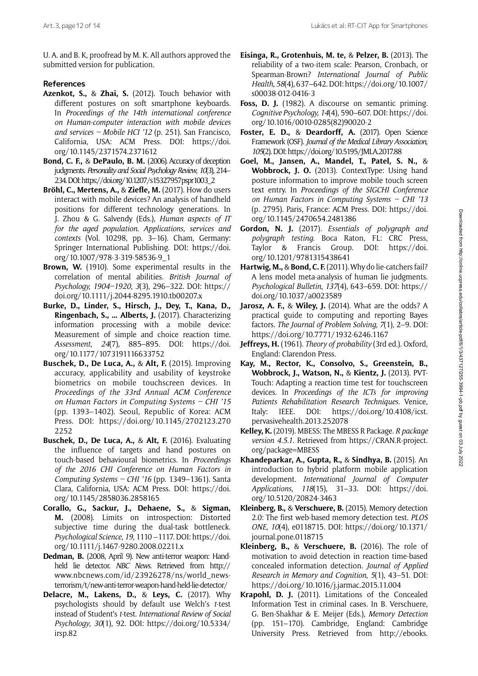U. A. and B. K, proofread by M. K. All authors approved the submitted version for publication.

# **References**

- **Azenkot, S.,** & **Zhai, S.** (2012). Touch behavior with different postures on soft smartphone keyboards. In *Proceedings of the 14th international conference on Human-computer interaction with mobile devices and services – Mobile HCI '12* (p. 251). San Francisco, California, USA: ACM Press. DOI: [https://doi.](https://doi.org/10.1145/2371574.2371612) [org/10.1145/2371574.2371612](https://doi.org/10.1145/2371574.2371612)
- **Bond, C. F.,** & **DePaulo, B. M.** (2006). Accuracy of deception judgments. *Personality and Social Psychology Review*, *10*(3), 214– 234. DOI: [https://doi.org/10.1207/s15327957pspr1003\\_2](https://doi.org/10.1207/s15327957pspr1003_2)
- **Bröhl, C., Mertens, A.,** & **Ziefle, M.** (2017). How do users interact with mobile devices? An analysis of handheld positions for different technology generations. In J. Zhou & G. Salvendy (Eds.), *Human aspects of IT for the aged population. Applications, services and contexts* (Vol. 10298, pp. 3–16). Cham, Germany: Springer International Publishing. DOI: [https://doi.](https://doi.org/10.1007/978-3-319-58536-9_1) [org/10.1007/978-3-319-58536-9\\_1](https://doi.org/10.1007/978-3-319-58536-9_1)
- **Brown, W.** (1910). Some experimental results in the correlation of mental abilities. *British Journal of Psychology, 1904–1920, 3*(3), 296–322. DOI: [https://](https://doi.org/10.1111/j.2044-8295.1910.tb00207.x) [doi.org/10.1111/j.2044-8295.1910.tb00207.x](https://doi.org/10.1111/j.2044-8295.1910.tb00207.x)
- **Burke, D., Linder, S., Hirsch, J., Dey, T., Kana, D., Ringenbach, S., … Alberts, J.** (2017). Characterizing information processing with a mobile device: Measurement of simple and choice reaction time. *Assessment*, *24*(7), 885–895. DOI: [https://doi.](https://doi.org/10.1177/1073191116633752) [org/10.1177/1073191116633752](https://doi.org/10.1177/1073191116633752)
- **Buschek, D., De Luca, A.,** & **Alt, F.** (2015). Improving accuracy, applicability and usability of keystroke biometrics on mobile touchscreen devices. In *Proceedings of the 33rd Annual ACM Conference on Human Factors in Computing Systems – CHI '15* (pp. 1393–1402). Seoul, Republic of Korea: ACM Press. DOI: [https://doi.org/10.1145/2702123.270](https://doi.org/10.1145/2702123.2702252) [2252](https://doi.org/10.1145/2702123.2702252)
- **Buschek, D., De Luca, A.,** & **Alt, F.** (2016). Evaluating the influence of targets and hand postures on touch-based behavioural biometrics. In *Proceedings of the 2016 CHI Conference on Human Factors in Computing Systems – CHI '16* (pp. 1349–1361). Santa Clara, California, USA: ACM Press. DOI: [https://doi.](https://doi.org/10.1145/2858036.2858165) [org/10.1145/2858036.2858165](https://doi.org/10.1145/2858036.2858165)
- **Corallo, G., Sackur, J., Dehaene, S.,** & **Sigman, M.** (2008). Limits on introspection: Distorted subjective time during the dual-task bottleneck. *Psychological Science, 19*, 1110 –1117. DOI: [https://doi.](https://doi.org/10.1111/j.1467-9280.2008.02211.x) [org/10.1111/j.1467-9280.2008.02211.x](https://doi.org/10.1111/j.1467-9280.2008.02211.x)
- **Dedman, B.** (2008, April 9). New anti-terror weapon: Handheld lie detector. *NBC News*. Retrieved from [http://](http://www.nbcnews.com/id/23926278/ns/world_news-terrorism/t/new-anti-terror-weapon-hand-held-lie-detector/) [www.nbcnews.com/id/23926278/ns/world\\_news](http://www.nbcnews.com/id/23926278/ns/world_news-terrorism/t/new-anti-terror-weapon-hand-held-lie-detector/)[terrorism/t/new-anti-terror-weapon-hand-held-lie-detector/](http://www.nbcnews.com/id/23926278/ns/world_news-terrorism/t/new-anti-terror-weapon-hand-held-lie-detector/)
- **Delacre, M., Lakens, D.,** & **Leys, C.** (2017). Why psychologists should by default use Welch's *t*-test instead of Student's *t*-test. *International Review of Social Psychology*, *30*(1), 92. DOI: [https://doi.org/10.5334/](https://doi.org/10.5334/irsp.82) [irsp.82](https://doi.org/10.5334/irsp.82)
- **Eisinga, R., Grotenhuis, M. te,** & **Pelzer, B.** (2013). The reliability of a two-item scale: Pearson, Cronbach, or Spearman-Brown? *International Journal of Public Health, 58*(4), 637–642. DOI: [https://doi.org/10.1007/](https://doi.org/10.1007/s00038-012-0416-3) [s00038-012-0416-3](https://doi.org/10.1007/s00038-012-0416-3)
- **Foss, D. J.** (1982). A discourse on semantic priming. *Cognitive Psychology, 14*(4), 590–607. DOI: [https://doi.](https://doi.org/10.1016/0010-0285(82)90020-2) [org/10.1016/0010-0285\(82\)90020-2](https://doi.org/10.1016/0010-0285(82)90020-2)
- **Foster, E. D.,** & **Deardorff, A.** (2017). Open Science Framework (OSF). *Journal of the Medical Library Association*, *105*(2). DOI:<https://doi.org/10.5195/JMLA.2017.88>
- **Goel, M., Jansen, A., Mandel, T., Patel, S. N.,** & **Wobbrock, J. O.** (2013). ContextType: Using hand posture information to improve mobile touch screen text entry. In *Proceedings of the SIGCHI Conference on Human Factors in Computing Systems – CHI '13* (p. 2795). Paris, France: ACM Press. DOI: [https://doi.](https://doi.org/10.1145/2470654.2481386) [org/10.1145/2470654.2481386](https://doi.org/10.1145/2470654.2481386)
- **Gordon, N. J.** (2017). *Essentials of polygraph and polygraph testing*. Boca Raton, FL: CRC Press, Taylor & Francis Group. DOI: [https://doi.](https://doi.org/10.1201/9781315438641) [org/10.1201/9781315438641](https://doi.org/10.1201/9781315438641)
- **Hartwig, M.,** & **Bond, C. F.** (2011). Why do lie-catchers fail? A lens model meta-analysis of human lie judgments. *Psychological Bulletin*, *137*(4), 643–659. DOI: [https://](https://doi.org/10.1037/a0023589) [doi.org/10.1037/a0023589](https://doi.org/10.1037/a0023589)
- **Jarosz, A. F.,** & **Wiley, J.** (2014). What are the odds? A practical guide to computing and reporting Bayes factors. *The Journal of Problem Solving*, *7*(1), 2–9. DOI: <https://doi.org/10.7771/1932-6246.1167>
- **Jeffreys, H.** (1961). *Theory of probability* (3rd ed.). Oxford, England: Clarendon Press.
- **Kay, M., Rector, K., Consolvo, S., Greenstein, B., Wobbrock, J., Watson, N.,** & **Kientz, J.** (2013). PVT-Touch: Adapting a reaction time test for touchscreen devices. In *Proceedings of the ICTs for improving Patients Rehabilitation Research Techniques*. Venice, Italy: IEEE. DOI: [https://doi.org/10.4108/icst.](https://doi.org/10.4108/icst.pervasivehealth.2013.252078) [pervasivehealth.2013.252078](https://doi.org/10.4108/icst.pervasivehealth.2013.252078)
- **Kelley, K.** (2019). MBESS: The MBESS R Package. *R package version 4.5.1*. Retrieved from [https://CRAN.R-project.](https://CRAN.R-project.org/package=MBESS) [org/package=MBESS](https://CRAN.R-project.org/package=MBESS)
- **Khandeparkar, A., Gupta, R.,** & **Sindhya, B.** (2015). An introduction to hybrid platform mobile application development. *International Journal of Computer Applications*, *118*(15), 31–33. DOI: [https://doi.](https://doi.org/10.5120/20824-3463) [org/10.5120/20824-3463](https://doi.org/10.5120/20824-3463)
- **Kleinberg, B.,** & **Verschuere, B.** (2015). Memory detection 2.0: The first web-based memory detection test. *PLOS ONE, 10*(4), e0118715. DOI: [https://doi.org/10.1371/](https://doi.org/10.1371/journal.pone.0118715) [journal.pone.0118715](https://doi.org/10.1371/journal.pone.0118715)
- **Kleinberg, B.,** & **Verschuere, B.** (2016). The role of motivation to avoid detection in reaction time-based concealed information detection. *Journal of Applied Research in Memory and Cognition*, *5*(1), 43–51. DOI: <https://doi.org/10.1016/j.jarmac.2015.11.004>
- **Krapohl, D. J.** (2011). Limitations of the Concealed Information Test in criminal cases. In B. Verschuere, G. Ben-Shakhar & E. Meijer (Eds.), *Memory Detection* (pp. 151–170). Cambridge, England: Cambridge University Press. Retrieved from [http://ebooks.](http://ebooks.cambridge.org/ref/id/CBO9780511975196A022)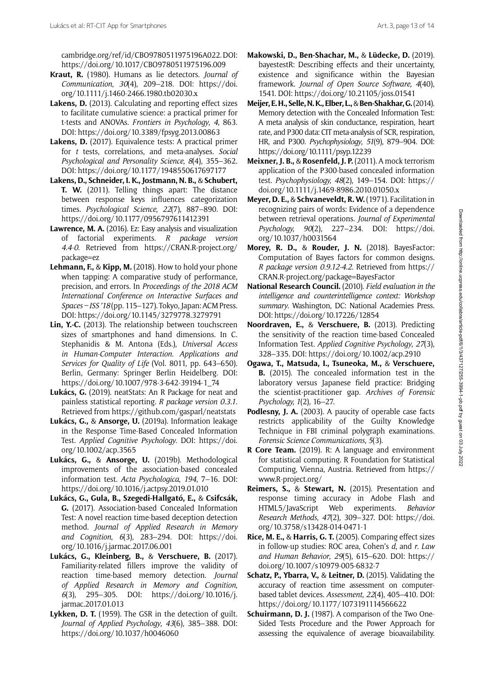[cambridge.org/ref/id/CBO9780511975196A022](http://ebooks.cambridge.org/ref/id/CBO9780511975196A022). DOI: <https://doi.org/10.1017/CBO9780511975196.009>

- **Kraut, R.** (1980). Humans as lie detectors. *Journal of Communication*, *30*(4), 209–218. DOI: [https://doi.](https://doi.org/10.1111/j.1460-2466.1980.tb02030.x) [org/10.1111/j.1460-2466.1980.tb02030.x](https://doi.org/10.1111/j.1460-2466.1980.tb02030.x)
- **Lakens, D.** (2013). Calculating and reporting effect sizes to facilitate cumulative science: a practical primer for t-tests and ANOVAs. *Frontiers in Psychology*, *4*, 863. DOI:<https://doi.org/10.3389/fpsyg.2013.00863>
- **Lakens, D.** (2017). Equivalence tests: A practical primer for *t* tests, correlations, and meta-analyses. *Social Psychological and Personality Science*, *8*(4), 355–362. DOI:<https://doi.org/10.1177/1948550617697177>
- **Lakens, D., Schneider, I. K., Jostmann, N. B.,** & **Schubert, T. W.** (2011). Telling things apart: The distance between response keys influences categorization times. *Psychological Science*, *22*(7), 887–890. DOI: <https://doi.org/10.1177/0956797611412391>
- **Lawrence, M. A.** (2016). Ez: Easy analysis and visualization of factorial experiments. *R package version 4.4-0*. Retrieved from [https://CRAN.R-project.org/](https://CRAN.R-project.org/package=ez) [package=ez](https://CRAN.R-project.org/package=ez)
- **Lehmann, F.,** & **Kipp, M.** (2018). How to hold your phone when tapping: A comparative study of performance, precision, and errors. In *Proceedings of the 2018 ACM International Conference on Interactive Surfaces and Spaces – ISS '18* (pp. 115–127). Tokyo, Japan: ACM Press. DOI:<https://doi.org/10.1145/3279778.3279791>
- **Lin, Y.-C.** (2013). The relationship between touchscreen sizes of smartphones and hand dimensions. In C. Stephanidis & M. Antona (Eds.), *Universal Access in Human-Computer Interaction. Applications and Services for Quality of Life* (Vol. 8011, pp. 643–650). Berlin, Germany: Springer Berlin Heidelberg. DOI: [https://doi.org/10.1007/978-3-642-39194-1\\_74](https://doi.org/10.1007/978-3-642-39194-1_74)
- **Lukács, G.** (2019). neatStats: An R Package for neat and painless statistical reporting. *R package version 0.3.1*. Retrieved from<https://github.com/gasparl/neatstats>
- **Lukács, G.,** & **Ansorge, U.** (2019a). Information leakage in the Response Time-Based Concealed Information Test. *Applied Cognitive Psychology*. DOI: [https://doi.](https://doi.org/10.1002/acp.3565) [org/10.1002/acp.3565](https://doi.org/10.1002/acp.3565)
- **Lukács, G.,** & **Ansorge, U.** (2019b). Methodological improvements of the association-based concealed information test. *Acta Psychologica*, *194*, 7–16. DOI: <https://doi.org/10.1016/j.actpsy.2019.01.010>
- **Lukács, G., Gula, B., Szegedi-Hallgató, E.,** & **Csifcsák, G.** (2017). Association-based Concealed Information Test: A novel reaction time-based deception detection method. *Journal of Applied Research in Memory and Cognition*, *6*(3), 283–294. DOI: [https://doi.](https://doi.org/10.1016/j.jarmac.2017.06.001) [org/10.1016/j.jarmac.2017.06.001](https://doi.org/10.1016/j.jarmac.2017.06.001)
- **Lukács, G., Kleinberg, B.,** & **Verschuere, B.** (2017). Familiarity-related fillers improve the validity of reaction time-based memory detection. *Journal of Applied Research in Memory and Cognition*, *6*(3), 295–305. DOI: [https://doi.org/10.1016/j.](https://doi.org/10.1016/j.jarmac.2017.01.013) [jarmac.2017.01.013](https://doi.org/10.1016/j.jarmac.2017.01.013)
- **Lykken, D. T.** (1959). The GSR in the detection of guilt. *Journal of Applied Psychology*, *43*(6), 385–388. DOI: <https://doi.org/10.1037/h0046060>
- **Makowski, D., Ben-Shachar, M.,** & **Lüdecke, D.** (2019). bayestestR: Describing effects and their uncertainty, existence and significance within the Bayesian framework. *Journal of Open Source Software, 4*(40), 1541. DOI: <https://doi.org/10.21105/joss.01541>
- **Meijer, E. H., Selle, N. K., Elber, L.,** & **Ben-Shakhar, G.** (2014). Memory detection with the Concealed Information Test: A meta analysis of skin conductance, respiration, heart rate, and P300 data: CIT meta-analysis of SCR, respiration, HR, and P300. *Psychophysiology*, *51*(9), 879–904. DOI: <https://doi.org/10.1111/psyp.12239>
- **Meixner, J. B.,** & **Rosenfeld, J. P.** (2011). A mock terrorism application of the P300-based concealed information test. *Psychophysiology, 48*(2), 149–154. DOI: [https://](https://doi.org/10.1111/j.1469-8986.2010.01050.x) [doi.org/10.1111/j.1469-8986.2010.01050.x](https://doi.org/10.1111/j.1469-8986.2010.01050.x)
- **Meyer, D. E.,** & **Schvaneveldt, R. W.** (1971). Facilitation in recognizing pairs of words: Evidence of a dependence between retrieval operations. *Journal of Experimental Psychology, 90*(2), 227–234. DOI: [https://doi.](https://doi.org/10.1037/h0031564) [org/10.1037/h0031564](https://doi.org/10.1037/h0031564)
- **Morey, R. D.,** & **Rouder, J. N.** (2018). BayesFactor: Computation of Bayes factors for common designs. *R package version 0.9.12-4.2*. Retrieved from [https://](https://CRAN.R-project.org/package=BayesFactor) [CRAN.R-project.org/package=BayesFactor](https://CRAN.R-project.org/package=BayesFactor)
- **National Research Council.** (2010). *Field evaluation in the intelligence and counterintelligence context: Workshop summary*. Washington, DC: National Academies Press. DOI:<https://doi.org/10.17226/12854>
- **Noordraven, E.,** & **Verschuere, B.** (2013). Predicting the sensitivity of the reaction time-based Concealed Information Test. *Applied Cognitive Psychology*, *27*(3), 328–335. DOI:<https://doi.org/10.1002/acp.2910>
- **Ogawa, T., Matsuda, I., Tsuneoka, M.,** & **Verschuere, B.** (2015). The concealed information test in the laboratory versus Japanese field practice: Bridging the scientist-practitioner gap. *Archives of Forensic Psychology, 1*(2), 16–27.
- **Podlesny, J. A.** (2003). A paucity of operable case facts restricts applicability of the Guilty Knowledge Technique in FBI criminal polygraph examinations. *Forensic Science Communications, 5*(3).
- **R Core Team.** (2019). R: A language and environment for statistical computing. R Foundation for Statistical Computing, Vienna, Austria. Retrieved from [https://](https://www.R-project.org/) [www.R-project.org/](https://www.R-project.org/)
- **Reimers, S.,** & **Stewart, N.** (2015). Presentation and response timing accuracy in Adobe Flash and HTML5/JavaScript Web experiments. *Behavior Research Methods*, *47*(2), 309–327. DOI: [https://doi.](https://doi.org/10.3758/s13428-014-0471-1) [org/10.3758/s13428-014-0471-1](https://doi.org/10.3758/s13428-014-0471-1)
- **Rice, M. E.,** & **Harris, G. T.** (2005). Comparing effect sizes in follow-up studies: ROC area, Cohen's *d*, and *r*. *Law and Human Behavior*, *29*(5), 615–620. DOI: [https://](https://doi.org/10.1007/s10979-005-6832-7) [doi.org/10.1007/s10979-005-6832-7](https://doi.org/10.1007/s10979-005-6832-7)
- **Schatz, P., Ybarra, V.,** & **Leitner, D.** (2015). Validating the accuracy of reaction time assessment on computerbased tablet devices. *Assessment*, *22*(4), 405–410. DOI: <https://doi.org/10.1177/1073191114566622>
- **Schuirmann, D. J.** (1987). A comparison of the Two One-Sided Tests Procedure and the Power Approach for assessing the equivalence of average bioavailability.